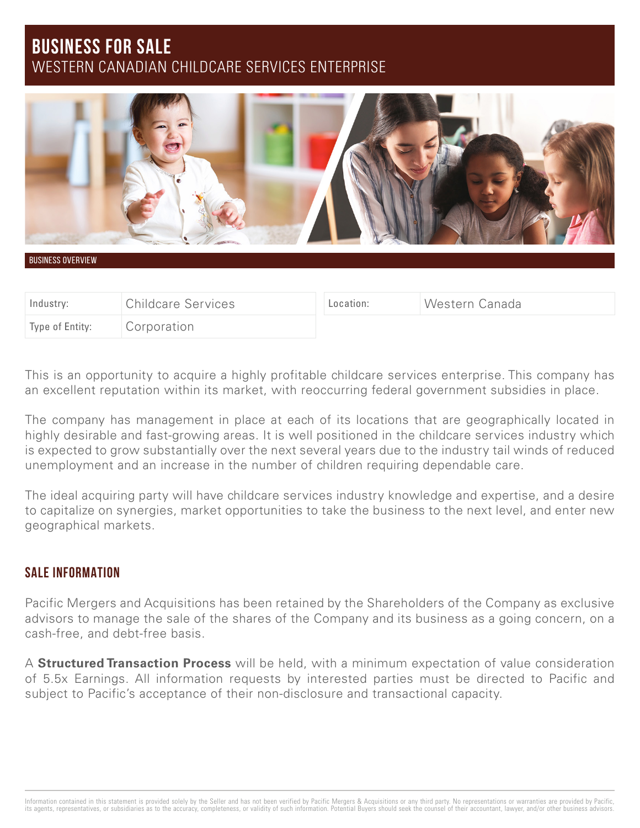# **BUSINESS FOR SALE** WESTERN CANADIAN CHILDCARE SERVICES ENTERPRISE



BUSINESS OVERVIEW

| Industry:       | <b>Childcare Services</b> | Location: | Western Canada |
|-----------------|---------------------------|-----------|----------------|
| Type of Entity: | Corporation               |           |                |

This is an opportunity to acquire a highly profitable childcare services enterprise. This company has an excellent reputation within its market, with reoccurring federal government subsidies in place.

The company has management in place at each of its locations that are geographically located in highly desirable and fast-growing areas. It is well positioned in the childcare services industry which is expected to grow substantially over the next several years due to the industry tail winds of reduced unemployment and an increase in the number of children requiring dependable care.

The ideal acquiring party will have childcare services industry knowledge and expertise, and a desire to capitalize on synergies, market opportunities to take the business to the next level, and enter new geographical markets.

### **SALE INFORMATION**

Pacific Mergers and Acquisitions has been retained by the Shareholders of the Company as exclusive advisors to manage the sale of the shares of the Company and its business as a going concern, on a cash-free, and debt-free basis.

A **Structured Transaction Process** will be held, with a minimum expectation of value consideration of 5.5x Earnings. All information requests by interested parties must be directed to Pacific and subject to Pacific's acceptance of their non-disclosure and transactional capacity.

Information contained in this statement is provided solely by the Seller and has not been verified by Pacific Mergers & Acquisitions or any third party. No representations or warranties are provided by Pacific, its agents, representatives, or subsidiaries as to the accuracy, completeness, or validity of such information. Potential Buyers should seek the counsel of their accountant, lawyer, and/or other business advisors.